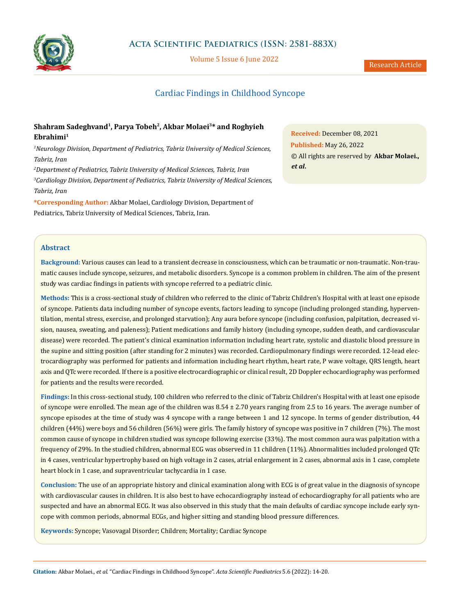

Volume 5 Issue 6 June 2022

# Cardiac Findings in Childhood Syncope

# **Shahram Sadeghvand1, Parya Tobeh2, Akbar Molaei3\* and Roghyieh Ebrahimi1**

*1 Neurology Division, Department of Pediatrics, Tabriz University of Medical Sciences, Tabriz, Iran*

*2 Department of Pediatrics, Tabriz University of Medical Sciences, Tabriz, Iran 3 Cardiology Division, Department of Pediatrics, Tabriz University of Medical Sciences, Tabriz, Iran*

**\*Corresponding Author:** Akbar Molaei, Cardiology Division, Department of Pediatrics, Tabriz University of Medical Sciences, Tabriz, Iran.

**Received:** December 08, 2021 **Published:** May 26, 2022 © All rights are reserved by **Akbar Molaei.,**  *et al***.**

### **Abstract**

**Background:** Various causes can lead to a transient decrease in consciousness, which can be traumatic or non-traumatic. Non-traumatic causes include syncope, seizures, and metabolic disorders. Syncope is a common problem in children. The aim of the present study was cardiac findings in patients with syncope referred to a pediatric clinic.

**Methods:** This is a cross-sectional study of children who referred to the clinic of Tabriz Children's Hospital with at least one episode of syncope. Patients data including number of syncope events, factors leading to syncope (including prolonged standing, hyperventilation, mental stress, exercise, and prolonged starvation); Any aura before syncope (including confusion, palpitation, decreased vision, nausea, sweating, and paleness); Patient medications and family history (including syncope, sudden death, and cardiovascular disease) were recorded. The patient's clinical examination information including heart rate, systolic and diastolic blood pressure in the supine and sitting position (after standing for 2 minutes) was recorded. Cardiopulmonary findings were recorded. 12-lead electrocardiography was performed for patients and information including heart rhythm, heart rate, P wave voltage, QRS length, heart axis and QTc were recorded. If there is a positive electrocardiographic or clinical result, 2D Doppler echocardiography was performed for patients and the results were recorded.

**Findings:** In this cross-sectional study, 100 children who referred to the clinic of Tabriz Children's Hospital with at least one episode of syncope were enrolled. The mean age of the children was 8.54 ± 2.70 years ranging from 2.5 to 16 years. The average number of syncope episodes at the time of study was 4 syncope with a range between 1 and 12 syncope. In terms of gender distribution, 44 children (44%) were boys and 56 children (56%) were girls. The family history of syncope was positive in 7 children (7%). The most common cause of syncope in children studied was syncope following exercise (33%). The most common aura was palpitation with a frequency of 29%. In the studied children, abnormal ECG was observed in 11 children (11%). Abnormalities included prolonged QTc in 4 cases, ventricular hypertrophy based on high voltage in 2 cases, atrial enlargement in 2 cases, abnormal axis in 1 case, complete heart block in 1 case, and supraventricular tachycardia in 1 case.

**Conclusion:** The use of an appropriate history and clinical examination along with ECG is of great value in the diagnosis of syncope with cardiovascular causes in children. It is also best to have echocardiography instead of echocardiography for all patients who are suspected and have an abnormal ECG. It was also observed in this study that the main defaults of cardiac syncope include early syncope with common periods, abnormal ECGs, and higher sitting and standing blood pressure differences.

**Keywords:** Syncope; Vasovagal Disorder; Children; Mortality; Cardiac Syncope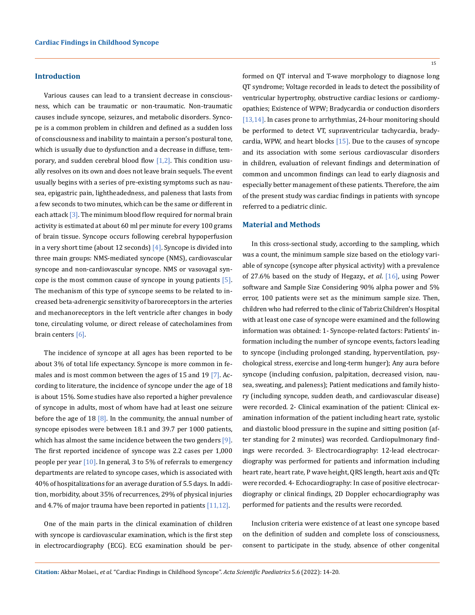### **Introduction**

Various causes can lead to a transient decrease in consciousness, which can be traumatic or non-traumatic. Non-traumatic causes include syncope, seizures, and metabolic disorders. Syncope is a common problem in children and defined as a sudden loss of consciousness and inability to maintain a person's postural tone, which is usually due to dysfunction and a decrease in diffuse, temporary, and sudden cerebral blood flow  $[1,2]$ . This condition usually resolves on its own and does not leave brain sequels. The event usually begins with a series of pre-existing symptoms such as nausea, epigastric pain, lightheadedness, and paleness that lasts from a few seconds to two minutes, which can be the same or different in each attack [3]. The minimum blood flow required for normal brain activity is estimated at about 60 ml per minute for every 100 grams of brain tissue. Syncope occurs following cerebral hypoperfusion in a very short time (about 12 seconds) [4]. Syncope is divided into three main groups: NMS-mediated syncope (NMS), cardiovascular syncope and non-cardiovascular syncope. NMS or vasovagal syncope is the most common cause of syncope in young patients [5]. The mechanism of this type of syncope seems to be related to increased beta-adrenergic sensitivity of baroreceptors in the arteries and mechanoreceptors in the left ventricle after changes in body tone, circulating volume, or direct release of catecholamines from brain centers [6].

The incidence of syncope at all ages has been reported to be about 3% of total life expectancy. Syncope is more common in females and is most common between the ages of 15 and 19 [7]. According to literature, the incidence of syncope under the age of 18 is about 15%. Some studies have also reported a higher prevalence of syncope in adults, most of whom have had at least one seizure before the age of 18  $[8]$ . In the community, the annual number of syncope episodes were between 18.1 and 39.7 per 1000 patients, which has almost the same incidence between the two genders  $[9]$ . The first reported incidence of syncope was 2.2 cases per 1,000 people per year [10]. In general, 3 to 5% of referrals to emergency departments are related to syncope cases, which is associated with 40% of hospitalizations for an average duration of 5.5 days. In addition, morbidity, about 35% of recurrences, 29% of physical injuries and 4.7% of major trauma have been reported in patients [11,12].

One of the main parts in the clinical examination of children with syncope is cardiovascular examination, which is the first step in electrocardiography (ECG). ECG examination should be performed on QT interval and T-wave morphology to diagnose long QT syndrome; Voltage recorded in leads to detect the possibility of ventricular hypertrophy, obstructive cardiac lesions or cardiomyopathies; Existence of WPW; Bradycardia or conduction disorders [13,14]. In cases prone to arrhythmias, 24-hour monitoring should be performed to detect VT, supraventricular tachycardia, bradycardia, WPW, and heart blocks [15]. Due to the causes of syncope and its association with some serious cardiovascular disorders in children, evaluation of relevant findings and determination of common and uncommon findings can lead to early diagnosis and especially better management of these patients. Therefore, the aim of the present study was cardiac findings in patients with syncope referred to a pediatric clinic.

#### **Material and Methods**

In this cross-sectional study, according to the sampling, which was a count, the minimum sample size based on the etiology variable of syncope (syncope after physical activity) with a prevalence of 27.6% based on the study of Hegazy., *et al*. [16], using Power software and Sample Size Considering 90% alpha power and 5% error, 100 patients were set as the minimum sample size. Then, children who had referred to the clinic of Tabriz Children's Hospital with at least one case of syncope were examined and the following information was obtained: 1- Syncope-related factors: Patients' information including the number of syncope events, factors leading to syncope (including prolonged standing, hyperventilation, psychological stress, exercise and long-term hunger); Any aura before syncope (including confusion, palpitation, decreased vision, nausea, sweating, and paleness); Patient medications and family history (including syncope, sudden death, and cardiovascular disease) were recorded. 2- Clinical examination of the patient: Clinical examination information of the patient including heart rate, systolic and diastolic blood pressure in the supine and sitting position (after standing for 2 minutes) was recorded. Cardiopulmonary findings were recorded. 3- Electrocardiography: 12-lead electrocardiography was performed for patients and information including heart rate, heart rate, P wave height, QRS length, heart axis and QTc were recorded. 4- Echocardiography: In case of positive electrocardiography or clinical findings, 2D Doppler echocardiography was performed for patients and the results were recorded.

Inclusion criteria were existence of at least one syncope based on the definition of sudden and complete loss of consciousness, consent to participate in the study, absence of other congenital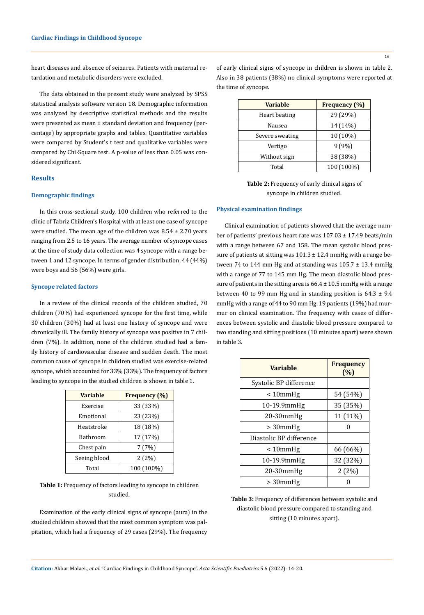heart diseases and absence of seizures. Patients with maternal retardation and metabolic disorders were excluded.

The data obtained in the present study were analyzed by SPSS statistical analysis software version 18. Demographic information was analyzed by descriptive statistical methods and the results were presented as mean ± standard deviation and frequency (percentage) by appropriate graphs and tables. Quantitative variables were compared by Student's t test and qualitative variables were compared by Chi-Square test. A p-value of less than 0.05 was considered significant.

### **Results**

#### **Demographic findings**

In this cross-sectional study, 100 children who referred to the clinic of Tabriz Children's Hospital with at least one case of syncope were studied. The mean age of the children was  $8.54 \pm 2.70$  years ranging from 2.5 to 16 years. The average number of syncope cases at the time of study data collection was 4 syncope with a range between 1 and 12 syncope. In terms of gender distribution, 44 (44%) were boys and 56 (56%) were girls.

#### **Syncope related factors**

In a review of the clinical records of the children studied, 70 children (70%) had experienced syncope for the first time, while 30 children (30%) had at least one history of syncope and were chronically ill. The family history of syncope was positive in 7 children (7%). In addition, none of the children studied had a family history of cardiovascular disease and sudden death. The most common cause of syncope in children studied was exercise-related syncope, which accounted for 33% (33%). The frequency of factors leading to syncope in the studied children is shown in table 1.

| <b>Variable</b> | Frequency (%) |
|-----------------|---------------|
| Exercise        | 33 (33%)      |
| Emotional       | 23 (23%)      |
| Heatstroke      | 18 (18%)      |
| Bathroom        | 17 (17%)      |
| Chest pain      | 7(7%)         |
| Seeing blood    | 2(2%)         |
| Total           | 100 (100%)    |

**Table 1:** Frequency of factors leading to syncope in children studied.

Examination of the early clinical signs of syncope (aura) in the studied children showed that the most common symptom was palpitation, which had a frequency of 29 cases (29%). The frequency of early clinical signs of syncope in children is shown in table 2. Also in 38 patients (38%) no clinical symptoms were reported at the time of syncope.

| <b>Variable</b> | Frequency (%) |  |
|-----------------|---------------|--|
| Heart beating   | 29 (29%)      |  |
| Nausea          | 14 (14%)      |  |
| Severe sweating | 10 (10%)      |  |
| Vertigo         | 9(9%)         |  |
| Without sign    | 38 (38%)      |  |
| Total           | 100 (100%)    |  |

**Table 2:** Frequency of early clinical signs of syncope in children studied.

#### **Physical examination findings**

Clinical examination of patients showed that the average number of patients' previous heart rate was 107.03 ± 17.49 beats/min with a range between 67 and 158. The mean systolic blood pressure of patients at sitting was  $101.3 \pm 12.4$  mmHg with a range between 74 to 144 mm Hg and at standing was  $105.7 \pm 13.4$  mmHg with a range of 77 to 145 mm Hg. The mean diastolic blood pressure of patients in the sitting area is  $66.4 \pm 10.5$  mmHg with a range between 40 to 99 mm Hg and in standing position is  $64.3 \pm 9.4$ mmHg with a range of 44 to 90 mm Hg. 19 patients (19%) had murmur on clinical examination. The frequency with cases of differences between systolic and diastolic blood pressure compared to two standing and sitting positions (10 minutes apart) were shown in table 3.

| <b>Variable</b>         | <b>Frequency</b><br>(%) |  |
|-------------------------|-------------------------|--|
| Systolic BP difference  |                         |  |
| $< 10$ mm $Hg$          | 54 (54%)                |  |
| 10-19.9mmHg             | 35 (35%)                |  |
| 20-30mmHg               | 11 (11%)                |  |
| $>30$ mmHg              |                         |  |
| Diastolic BP difference |                         |  |
| $< 10$ mm $Hg$          | 66 (66%)                |  |
| $10-19.9$ mm $Hg$       | 32 (32%)                |  |
| 20-30mmHg               | 2(2%)                   |  |
| $>30$ mmHg              |                         |  |

**Table 3:** Frequency of differences between systolic and diastolic blood pressure compared to standing and sitting (10 minutes apart).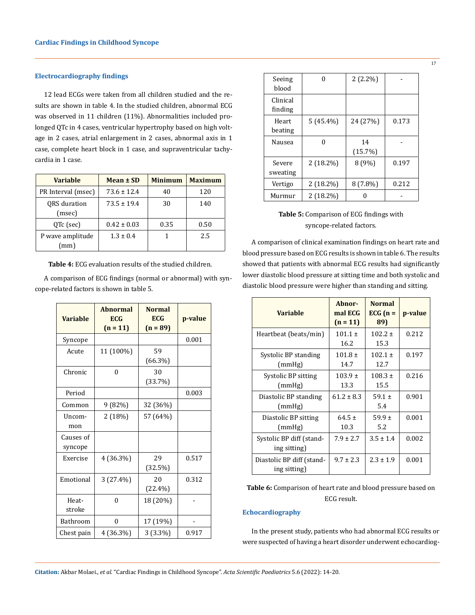### **Electrocardiography findings**

12 lead ECGs were taken from all children studied and the results are shown in table 4. In the studied children, abnormal ECG was observed in 11 children (11%). Abnormalities included prolonged QTc in 4 cases, ventricular hypertrophy based on high voltage in 2 cases, atrial enlargement in 2 cases, abnormal axis in 1 case, complete heart block in 1 case, and supraventricular tachycardia in 1 case.

| <b>Variable</b>          | Mean ± SD       | <b>Minimum</b> | <b>Maximum</b> |
|--------------------------|-----------------|----------------|----------------|
| PR Interval (msec)       | $73.6 \pm 12.4$ | 40             | 120            |
| ORS duration<br>(msec)   | $73.5 \pm 19.4$ | 30             | 140            |
| QTc (sec)                | $0.42 \pm 0.03$ | 0.35           | 0.50           |
| P wave amplitude<br>(mm) | $1.3 \pm 0.4$   |                | 2.5            |

**Table 4:** ECG evaluation results of the studied children.

A comparison of ECG findings (normal or abnormal) with syncope-related factors is shown in table 5.

| <b>Variable</b>      | <b>Abnormal</b><br><b>ECG</b><br>$(n = 11)$ | <b>Normal</b><br><b>ECG</b><br>$(n = 89)$ | p-value |
|----------------------|---------------------------------------------|-------------------------------------------|---------|
| Syncope              |                                             |                                           | 0.001   |
| Acute                | 11 (100%)                                   | 59<br>$(66.3\%)$                          |         |
| Chronic              | $\theta$                                    | 30<br>(33.7%)                             |         |
| Period               |                                             |                                           | 0.003   |
| Common               | 9 (82%)                                     | 32 (36%)                                  |         |
| Uncom-<br>mon        | 2 (18%)                                     | 57 (64%)                                  |         |
| Causes of<br>syncope |                                             |                                           |         |
| Exercise             | 4 (36.3%)                                   | 29<br>(32.5%)                             | 0.517   |
| Emotional            | 3 (27.4%)                                   | 20<br>$(22.4\%)$                          | 0.312   |
| Heat-<br>stroke      | $\Omega$                                    | 18 (20%)                                  |         |
| Bathroom             | $\theta$                                    | 17 (19%)                                  |         |
| Chest pain           | 4 (36.3%)                                   | 3(3.3%)                                   | 0.917   |

| Seeing<br>blood     | U           | $2(2.2\%)$       |       |
|---------------------|-------------|------------------|-------|
| Clinical<br>finding |             |                  |       |
| Heart<br>beating    | $5(45.4\%)$ | 24 (27%)         | 0.173 |
| Nausea              | N           | 14<br>$(15.7\%)$ |       |
| Severe<br>sweating  | $2(18.2\%)$ | 8 (9%)           | 0.197 |
| Vertigo             | $2(18.2\%)$ | $8(7.8\%)$       | 0.212 |
| Murmur              | $2(18.2\%)$ |                  |       |

## **Table 5:** Comparison of ECG findings with syncope-related factors.

A comparison of clinical examination findings on heart rate and blood pressure based on ECG results is shown in table 6. The results showed that patients with abnormal ECG results had significantly lower diastolic blood pressure at sitting time and both systolic and diastolic blood pressure were higher than standing and sitting.

| <b>Variable</b>                           | Abnor-<br>mal ECG<br>$(n = 11)$ | <b>Normal</b><br>ECG $(n =$<br>89) | p-value |
|-------------------------------------------|---------------------------------|------------------------------------|---------|
| Heartbeat (beats/min)                     | $101.1 \pm$<br>16.2             | $102.2 \pm$<br>15.3                | 0.212   |
| Systolic BP standing<br>(mmHg)            | $101.8 \pm$<br>14.7             | $102.1 \pm$<br>12.7                | 0.197   |
| Systolic BP sitting<br>(mmHg)             | $103.9 \pm$<br>13.3             | $108.3 \pm$<br>15.5                | 0.216   |
| Diastolic BP standing<br>(mmHg)           | $61.2 \pm 8.3$                  | 59.1 $\pm$<br>5.4                  | 0.901   |
| Diastolic BP sitting<br>(mmHg)            | $64.5 \pm$<br>10.3              | $59.9 \pm$<br>5.2                  | 0.001   |
| Systolic BP diff (stand-<br>ing sitting)  | $7.9 \pm 2.7$                   | $3.5 \pm 1.4$                      | 0.002   |
| Diastolic BP diff (stand-<br>ing sitting) | $9.7 \pm 2.3$                   | $2.3 \pm 1.9$                      | 0.001   |

### **Table 6:** Comparison of heart rate and blood pressure based on ECG result.

### **Echocardiography**

In the present study, patients who had abnormal ECG results or were suspected of having a heart disorder underwent echocardiog-

**Citation:** Akbar Molaei., *et al.* "Cardiac Findings in Childhood Syncope". *Acta Scientific Paediatrics* 5.6 (2022): 14-20.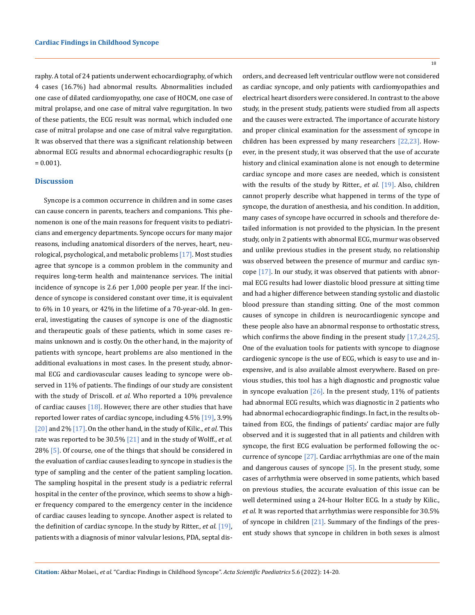raphy. A total of 24 patients underwent echocardiography, of which 4 cases (16.7%) had abnormal results. Abnormalities included one case of dilated cardiomyopathy, one case of HOCM, one case of mitral prolapse, and one case of mitral valve regurgitation. In two of these patients, the ECG result was normal, which included one case of mitral prolapse and one case of mitral valve regurgitation. It was observed that there was a significant relationship between abnormal ECG results and abnormal echocardiographic results (p  $= 0.001$ ).

#### **Discussion**

Syncope is a common occurrence in children and in some cases can cause concern in parents, teachers and companions. This phenomenon is one of the main reasons for frequent visits to pediatricians and emergency departments. Syncope occurs for many major reasons, including anatomical disorders of the nerves, heart, neurological, psychological, and metabolic problems [17]. Most studies agree that syncope is a common problem in the community and requires long-term health and maintenance services. The initial incidence of syncope is 2.6 per 1,000 people per year. If the incidence of syncope is considered constant over time, it is equivalent to 6% in 10 years, or 42% in the lifetime of a 70-year-old. In general, investigating the causes of syncope is one of the diagnostic and therapeutic goals of these patients, which in some cases remains unknown and is costly. On the other hand, in the majority of patients with syncope, heart problems are also mentioned in the additional evaluations in most cases. In the present study, abnormal ECG and cardiovascular causes leading to syncope were observed in 11% of patients. The findings of our study are consistent with the study of Driscoll. *et al.* Who reported a 10% prevalence of cardiac causes  $[18]$ . However, there are other studies that have reported lower rates of cardiac syncope, including 4.5% [19], 3.9% [20] and 2% [17]. On the other hand, in the study of Kilic., *et al.* This rate was reported to be 30.5% [21] and in the study of Wolff., *et al.* 28% [5]. Of course, one of the things that should be considered in the evaluation of cardiac causes leading to syncope in studies is the type of sampling and the center of the patient sampling location. The sampling hospital in the present study is a pediatric referral hospital in the center of the province, which seems to show a higher frequency compared to the emergency center in the incidence of cardiac causes leading to syncope. Another aspect is related to the definition of cardiac syncope. In the study by Ritter., *et al.* [19], patients with a diagnosis of minor valvular lesions, PDA, septal disorders, and decreased left ventricular outflow were not considered as cardiac syncope, and only patients with cardiomyopathies and electrical heart disorders were considered. In contrast to the above study, in the present study, patients were studied from all aspects and the causes were extracted. The importance of accurate history and proper clinical examination for the assessment of syncope in children has been expressed by many researchers [22,23]. However, in the present study, it was observed that the use of accurate history and clinical examination alone is not enough to determine cardiac syncope and more cases are needed, which is consistent with the results of the study by Ritter., *et al*. [19]. Also, children cannot properly describe what happened in terms of the type of syncope, the duration of anesthesia, and his condition. In addition, many cases of syncope have occurred in schools and therefore detailed information is not provided to the physician. In the present study, only in 2 patients with abnormal ECG, murmur was observed and unlike previous studies in the present study, no relationship was observed between the presence of murmur and cardiac syncope [17]. In our study, it was observed that patients with abnormal ECG results had lower diastolic blood pressure at sitting time and had a higher difference between standing systolic and diastolic blood pressure than standing sitting. One of the most common causes of syncope in children is neurocardiogenic syncope and these people also have an abnormal response to orthostatic stress, which confirms the above finding in the present study [17,24,25]. One of the evaluation tools for patients with syncope to diagnose cardiogenic syncope is the use of ECG, which is easy to use and inexpensive, and is also available almost everywhere. Based on previous studies, this tool has a high diagnostic and prognostic value in syncope evaluation  $[26]$ . In the present study, 11% of patients had abnormal ECG results, which was diagnostic in 2 patients who had abnormal echocardiographic findings. In fact, in the results obtained from ECG, the findings of patients' cardiac major are fully observed and it is suggested that in all patients and children with syncope, the first ECG evaluation be performed following the occurrence of syncope [27]. Cardiac arrhythmias are one of the main and dangerous causes of syncope  $\lceil 5 \rceil$ . In the present study, some cases of arrhythmia were observed in some patients, which based on previous studies, the accurate evaluation of this issue can be well determined using a 24-hour Holter ECG. In a study by Kilic., *et al.* It was reported that arrhythmias were responsible for 30.5% of syncope in children  $[21]$ . Summary of the findings of the present study shows that syncope in children in both sexes is almost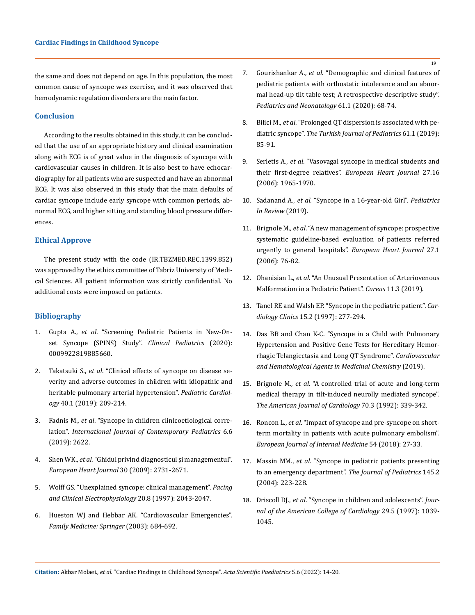the same and does not depend on age. In this population, the most common cause of syncope was exercise, and it was observed that hemodynamic regulation disorders are the main factor.

#### **Conclusion**

According to the results obtained in this study, it can be concluded that the use of an appropriate history and clinical examination along with ECG is of great value in the diagnosis of syncope with cardiovascular causes in children. It is also best to have echocardiography for all patients who are suspected and have an abnormal ECG. It was also observed in this study that the main defaults of cardiac syncope include early syncope with common periods, abnormal ECG, and higher sitting and standing blood pressure differences.

#### **Ethical Approve**

The present study with the code (IR.TBZMED.REC.1399.852) was approved by the ethics committee of Tabriz University of Medical Sciences. All patient information was strictly confidential. No additional costs were imposed on patients.

### **Bibliography**

- 1. Gupta A., *et al*[. "Screening Pediatric Patients in New-On](https://pubmed.ncbi.nlm.nih.gov/31709814/)[set Syncope \(SPINS\) Study".](https://pubmed.ncbi.nlm.nih.gov/31709814/) *Clinical Pediatrics* (2020): [0009922819885660.](https://pubmed.ncbi.nlm.nih.gov/31709814/)
- 2. Takatsuki S., *et al*[. "Clinical effects of syncope on disease se](https://pubmed.ncbi.nlm.nih.gov/30291385/)[verity and adverse outcomes in children with idiopathic and](https://pubmed.ncbi.nlm.nih.gov/30291385/) [heritable pulmonary arterial hypertension".](https://pubmed.ncbi.nlm.nih.gov/30291385/) *Pediatric Cardiology* [40.1 \(2019\): 209-214.](https://pubmed.ncbi.nlm.nih.gov/30291385/)
- 3. Fadnis M., *et al*[. "Syncope in children clinicoetiological corre](https://www.ijpediatrics.com/index.php/ijcp/article/view/2854)lation". *[International Journal of Contemporary Pediatrics](https://www.ijpediatrics.com/index.php/ijcp/article/view/2854)* 6.6 [\(2019\): 2622.](https://www.ijpediatrics.com/index.php/ijcp/article/view/2854)
- 4. Shen WK., *et al*[. "Ghidul privind diagnosticul şi managementul".](https://www.romanianjournalcardiology.ro/wp-content/uploads/2019/12/ghid.pdf) *[European Heart Journal](https://www.romanianjournalcardiology.ro/wp-content/uploads/2019/12/ghid.pdf)* 30 (2009): 2731-2671.
- 5. [Wolff GS. "Unexplained syncope: clinical management".](https://pubmed.ncbi.nlm.nih.gov/9272505/) *Pacing [and Clinical Electrophysiology](https://pubmed.ncbi.nlm.nih.gov/9272505/)* 20.8 (1997): 2043-2047.
- 6. Hueston WJ and Hebbar AK. "Cardiovascular Emergencies". *Family Medicine: Springer* (2003): 684-692.
- 7. Gourishankar A., *et al*[. "Demographic and clinical features of](https://pubmed.ncbi.nlm.nih.gov/31387844/) [pediatric patients with orthostatic intolerance and an abnor](https://pubmed.ncbi.nlm.nih.gov/31387844/)[mal head-up tilt table test; A retrospective descriptive study".](https://pubmed.ncbi.nlm.nih.gov/31387844/)  *[Pediatrics and Neonatology](https://pubmed.ncbi.nlm.nih.gov/31387844/)* 61.1 (2020): 68-74.
- 8. Bilici M., *et al*[. "Prolonged QT dispersion is associated with pe](https://pubmed.ncbi.nlm.nih.gov/31559726/)diatric syncope". *[The Turkish Journal of Pediatrics](https://pubmed.ncbi.nlm.nih.gov/31559726/)* 61.1 (2019): [85-91.](https://pubmed.ncbi.nlm.nih.gov/31559726/)
- 9. Serletis A., *et al*[. "Vasovagal syncope in medical students and](https://pubmed.ncbi.nlm.nih.gov/16837484/)  [their first-degree relatives".](https://pubmed.ncbi.nlm.nih.gov/16837484/) *European Heart Journal* 27.16 [\(2006\): 1965-1970.](https://pubmed.ncbi.nlm.nih.gov/16837484/)
- 10. Sadanand A., *et al*[. "Syncope in a 16-year-old Girl".](https://pubmed.ncbi.nlm.nih.gov/30600277/) *Pediatrics [In Review](https://pubmed.ncbi.nlm.nih.gov/30600277/)* (2019).
- 11. Brignole M., *et al*[. "A new management of syncope: prospective](https://pubmed.ncbi.nlm.nih.gov/16272210/)  [systematic guideline-based evaluation of patients referred](https://pubmed.ncbi.nlm.nih.gov/16272210/) [urgently to general hospitals".](https://pubmed.ncbi.nlm.nih.gov/16272210/) *European Heart Journal* 27.1 [\(2006\): 76-82.](https://pubmed.ncbi.nlm.nih.gov/16272210/)
- 12. Ohanisian L., *et al*[. "An Unusual Presentation of Arteriovenous](https://pubmed.ncbi.nlm.nih.gov/31114728/) [Malformation in a Pediatric Patient".](https://pubmed.ncbi.nlm.nih.gov/31114728/) *Cureus* 11.3 (2019).
- 13. [Tanel RE and Walsh EP. "Syncope in the pediatric patient".](https://pubmed.ncbi.nlm.nih.gov/9164716/) *Cardiology Clinics* [15.2 \(1997\): 277-294.](https://pubmed.ncbi.nlm.nih.gov/9164716/)
- 14. [Das BB and Chan K-C. "Syncope in a Child with Pulmonary](https://pubmed.ncbi.nlm.nih.gov/31657683/) [Hypertension and Positive Gene Tests for Hereditary Hemor](https://pubmed.ncbi.nlm.nih.gov/31657683/)[rhagic Telangiectasia and Long QT Syndrome".](https://pubmed.ncbi.nlm.nih.gov/31657683/) *Cardiovascular [and Hematological Agents in Medicinal Chemistry](https://pubmed.ncbi.nlm.nih.gov/31657683/)* (2019).
- 15. Brignole M., *et al*[. "A controlled trial of acute and long-term](https://pubmed.ncbi.nlm.nih.gov/1632399/) [medical therapy in tilt-induced neurolly mediated syncope".](https://pubmed.ncbi.nlm.nih.gov/1632399/) *[The American Journal of Cardiology](https://pubmed.ncbi.nlm.nih.gov/1632399/)* 70.3 (1992): 339-342.
- 16. Roncon L., *et al*[. "Impact of syncope and pre-syncope on short](https://pubmed.ncbi.nlm.nih.gov/29655808/)[term mortality in patients with acute pulmonary embolism".](https://pubmed.ncbi.nlm.nih.gov/29655808/) *[European Journal of Internal Medicine](https://pubmed.ncbi.nlm.nih.gov/29655808/)* 54 (2018): 27-33.
- 17. Massin MM., *et al*[. "Syncope in pediatric patients presenting](https://pubmed.ncbi.nlm.nih.gov/15289772/)  [to an emergency department".](https://pubmed.ncbi.nlm.nih.gov/15289772/) *The Journal of Pediatrics* 145.2 [\(2004\): 223-228.](https://pubmed.ncbi.nlm.nih.gov/15289772/)
- 18. Driscoll DJ., *et al*[. "Syncope in children and adolescents".](https://pubmed.ncbi.nlm.nih.gov/26678237/) *Jour[nal of the American College of Cardiology](https://pubmed.ncbi.nlm.nih.gov/26678237/)* 29.5 (1997): 1039- [1045.](https://pubmed.ncbi.nlm.nih.gov/26678237/)

19